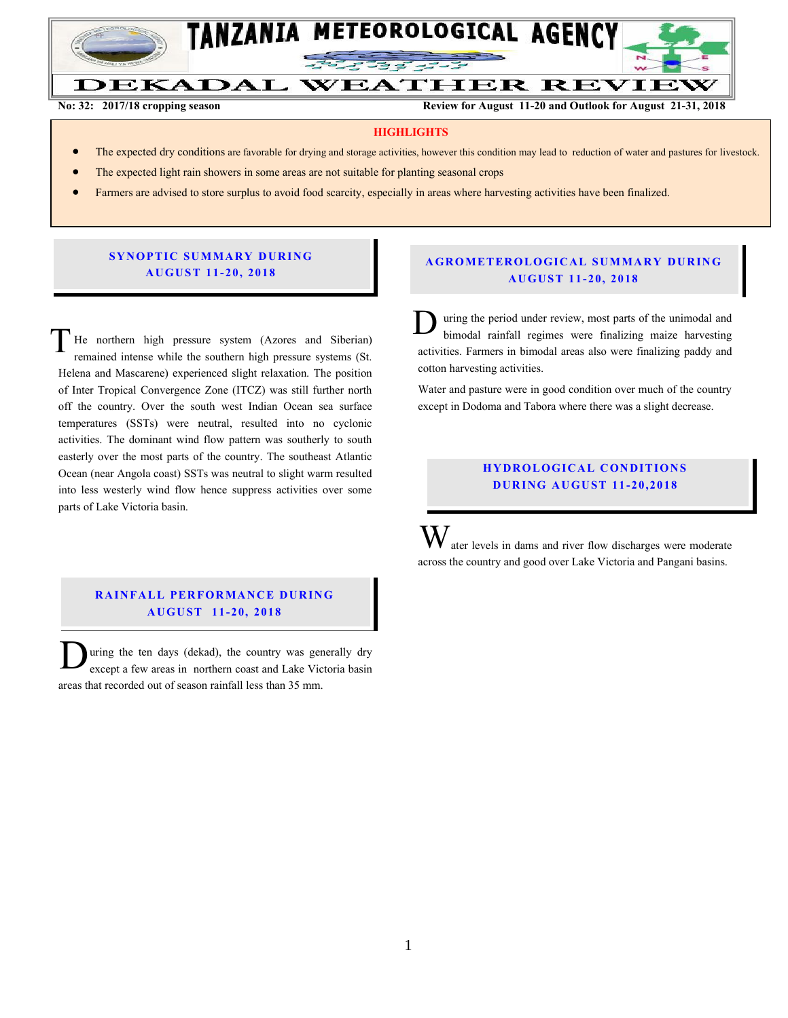

**No: 32: 2017/18 cropping season Review for August 11-20 and Outlook for August 21-31, 2018**

#### **HIGHLIGHTS**

- The expected dry conditions are favorable for drying and storage activities, however this condition may lead to reduction of water and pastures for livestock.
- The expected light rain showers in some areas are not suitable for planting seasonal crops
- Farmers are advised to store surplus to avoid food scarcity, especially in areas where harvesting activities have been finalized.

#### **SYNOPTIC SUMMARY DURING A U GU ST 11- 20, 201 8**

He northern high pressure system (Azores and Siberian) remained intense while the southern high pressure systems (St. Helena and Mascarene) experienced slight relaxation. The position of Inter Tropical Convergence Zone (ITCZ) was still further north off the country. Over the south west Indian Ocean sea surface temperatures (SSTs) were neutral, resulted into no cyclonic activities. The dominant wind flow pattern was southerly to south easterly over the most parts of the country. The southeast Atlantic Ocean (near Angola coast) SSTs was neutral to slight warm resulted into less westerly wind flow hence suppress activities over some parts of Lake Victoria basin. T

## **RAINFALL PERFORMANCE DURING A U GU ST 11- 20, 2018**

uring the ten days (dekad), the country was generally dry except a few areas in northern coast and Lake Victoria basin areas that recorded out of season rainfall less than 35 mm.  $\overline{\mathbf{D}}$ 

### **A G RO METER O LO G IC AL SU MMAR Y DU R IN G A U GU ST 11- 20, 2018**

uring the period under review, most parts of the unimodal and bimodal rainfall regimes were finalizing maize harvesting activities. Farmers in bimodal areas also were finalizing paddy and cotton harvesting activities.  $\mathbf{D}_\mathrm{t}$ 

Water and pasture were in good condition over much of the country except in Dodoma and Tabora where there was a slight decrease.

### **HYDROLOGICAL CONDITIONS D UR ING A U GU ST 11 - 20,2018**

ater levels in dams and river flow discharges were moderate across the country and good over Lake Victoria and Pangani basins. W